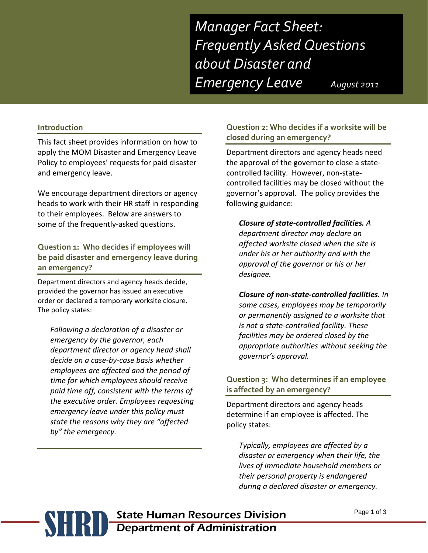*Manager Fact Sheet: Frequently Asked Questions about Disaster and Emergency Leave August 2011* 

**Introduction**

This fact sheet provides information on how to apply the MOM Disaster and Emergency Leave Policy to employees' requests for paid disaster and emergency leave.

We encourage department directors or agency heads to work with their HR staff in responding to their employees. Below are answers to some of the frequently-asked questions.

**Question 1: Who decides if employees will be paid disaster and emergency leave during an emergency?**

Department directors and agency heads decide, provided the governor has issued an executive order or declared a temporary worksite closure. The policy states:

*Following a declaration of a disaster or emergency by the governor, each department director or agency head shall decide on a case-by-case basis whether employees are affected and the period of time for which employees should receive paid time off, consistent with the terms of the executive order. Employees requesting emergency leave under this policy must state the reasons why they are "affected by" the emergency.*

## **Question 2: Who decides if a worksite will be closed during an emergency?**

Department directors and agency heads need the approval of the governor to close a statecontrolled facility. However, non-statecontrolled facilities may be closed without the governor's approval. The policy provides the following guidance:

*Closure of state-controlled facilities. A department director may declare an affected worksite closed when the site is under his or her authority and with the approval of the governor or his or her designee.* 

*Closure of non-state-controlled facilities. In some cases, employees may be temporarily or permanently assigned to a worksite that is not a state-controlled facility. These facilities may be ordered closed by the appropriate authorities without seeking the governor's approval.*

#### **Question 3: Who determines if an employee is affected by an emergency?**

Department directors and agency heads determine if an employee is affected. The policy states:

*Typically, employees are affected by a disaster or emergency when their life, the lives of immediate household members or their personal property is endangered during a declared disaster or emergency.* 

# **SHRID** State Human Resources Division<br>Department of Administration Department of Administration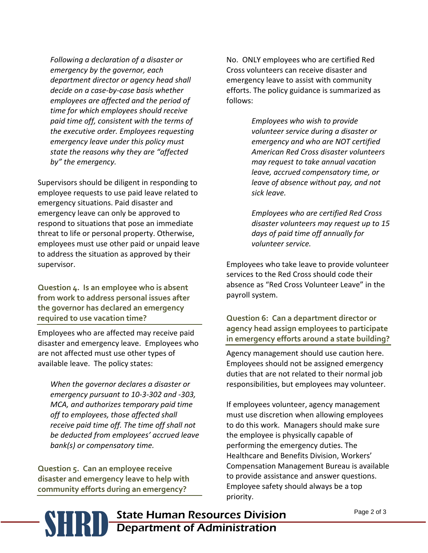*Following a declaration of a disaster or emergency by the governor, each department director or agency head shall decide on a case-by-case basis whether employees are affected and the period of time for which employees should receive paid time off, consistent with the terms of the executive order. Employees requesting emergency leave under this policy must state the reasons why they are "affected by" the emergency.* 

Supervisors should be diligent in responding to employee requests to use paid leave related to emergency situations. Paid disaster and emergency leave can only be approved to respond to situations that pose an immediate threat to life or personal property. Otherwise, employees must use other paid or unpaid leave to address the situation as approved by their supervisor.

**Question 4. Is an employee who is absent from work to address personal issues after the governor has declared an emergency required to use vacation time?**

Employees who are affected may receive paid disaster and emergency leave. Employees who are not affected must use other types of available leave. The policy states:

*When the governor declares a disaster or emergency pursuant to 10-3-302 and -303, MCA, and authorizes temporary paid time off to employees, those affected shall receive paid time off. The time off shall not be deducted from employees' accrued leave bank(s) or compensatory time.*

**Question 5. Can an employee receive disaster and emergency leave to help with community efforts during an emergency?**

No. ONLY employees who are certified Red Cross volunteers can receive disaster and emergency leave to assist with community efforts. The policy guidance is summarized as follows:

> *Employees who wish to provide volunteer service during a disaster or emergency and who are NOT certified American Red Cross disaster volunteers may request to take annual vacation leave, accrued compensatory time, or leave of absence without pay, and not sick leave.*

*Employees who are certified Red Cross disaster volunteers may request up to 15 days of paid time off annually for volunteer service.*

Employees who take leave to provide volunteer services to the Red Cross should code their absence as "Red Cross Volunteer Leave" in the payroll system.

**Question 6: Can a department director or agency head assign employees to participate in emergency efforts around a state building?**

Agency management should use caution here. Employees should not be assigned emergency duties that are not related to their normal job responsibilities, but employees may volunteer.

If employees volunteer, agency management must use discretion when allowing employees to do this work. Managers should make sure the employee is physically capable of performing the emergency duties. The Healthcare and Benefits Division, Workers' Compensation Management Bureau is available to provide assistance and answer questions. Employee safety should always be a top priority.

**SHRID** State Human Resources Division<br>Department of Administration Department of Administration